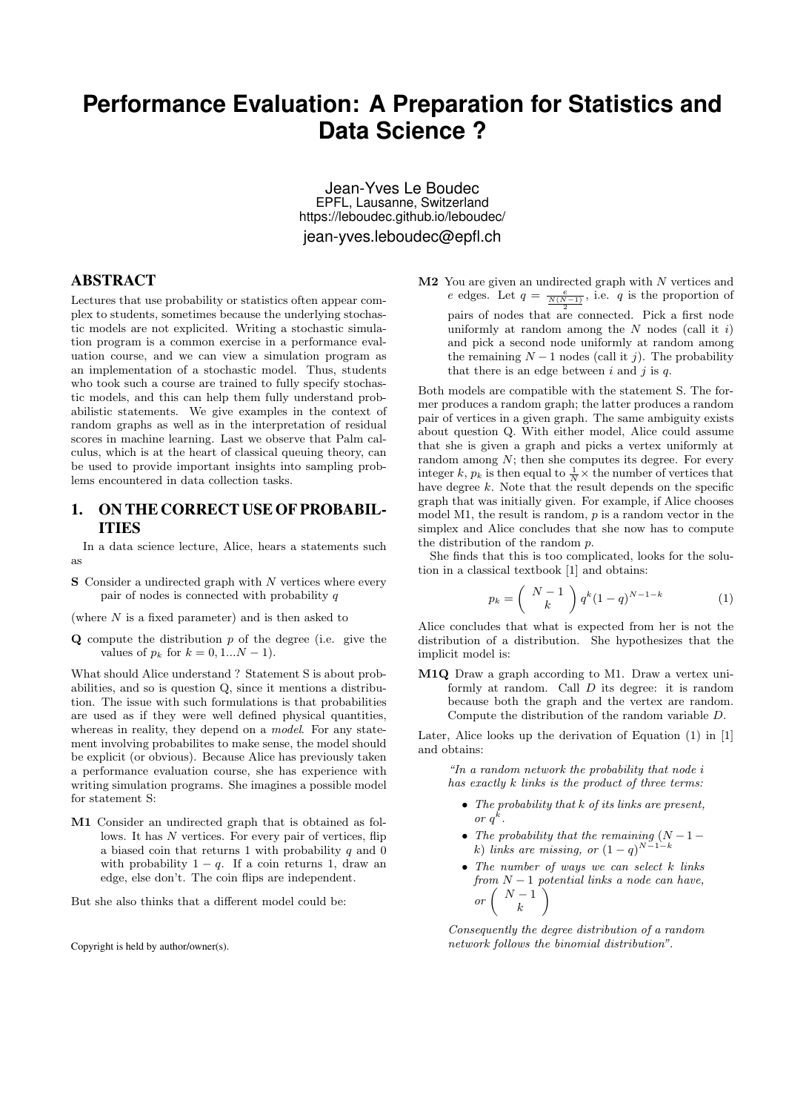# **Performance Evaluation: A Preparation for Statistics and Data Science ?**

Jean-Yves Le Boudec EPFL, Lausanne, Switzerland https://leboudec.github.io/leboudec/ jean-yves.leboudec@epfl.ch

#### ABSTRACT

Lectures that use probability or statistics often appear complex to students, sometimes because the underlying stochastic models are not explicited. Writing a stochastic simulation program is a common exercise in a performance evaluation course, and we can view a simulation program as an implementation of a stochastic model. Thus, students who took such a course are trained to fully specify stochastic models, and this can help them fully understand probabilistic statements. We give examples in the context of random graphs as well as in the interpretation of residual scores in machine learning. Last we observe that Palm calculus, which is at the heart of classical queuing theory, can be used to provide important insights into sampling problems encountered in data collection tasks.

### 1. ON THE CORRECT USE OF PROBABIL-ITIES

In a data science lecture, Alice, hears a statements such as

S Consider a undirected graph with *N* vertices where every pair of nodes is connected with probability *q*

(where *N* is a fixed parameter) and is then asked to

Q compute the distribution *p* of the degree (i.e. give the values of  $p_k$  for  $k = 0, 1...N - 1$ .

What should Alice understand ? Statement S is about probabilities, and so is question Q, since it mentions a distribution. The issue with such formulations is that probabilities are used as if they were well defined physical quantities, whereas in reality, they depend on a *model*. For any statement involving probabilites to make sense, the model should be explicit (or obvious). Because Alice has previously taken a performance evaluation course, she has experience with writing simulation programs. She imagines a possible model for statement S:

M1 Consider an undirected graph that is obtained as follows. It has *N* vertices. For every pair of vertices, flip a biased coin that returns 1 with probability *q* and 0 with probability  $1 - q$ . If a coin returns 1, draw an edge, else don't. The coin flips are independent.

But she also thinks that a different model could be:

Copyright is held by author/owner(s).

M2 You are given an undirected graph with *N* vertices and *e* edges. Let  $q = \frac{e}{\frac{N(N-1)}{2}}$ , i.e. *q* is the proportion of pairs of nodes that are connected. Pick a first node uniformly at random among the *N* nodes (call it *i*) and pick a second node uniformly at random among the remaining  $N-1$  nodes (call it *j*). The probability that there is an edge between *i* and *j* is *q*.

Both models are compatible with the statement S. The former produces a random graph; the latter produces a random pair of vertices in a given graph. The same ambiguity exists about question Q. With either model, Alice could assume that she is given a graph and picks a vertex uniformly at random among  $N$ ; then she computes its degree. For every integer *k*,  $p_k$  is then equal to  $\frac{1}{N} \times$  the number of vertices that have degree *k*. Note that the result depends on the specific graph that was initially given. For example, if Alice chooses model M1, the result is random, *p* is a random vector in the simplex and Alice concludes that she now has to compute the distribution of the random *p*.

She finds that this is too complicated, looks for the solution in a classical textbook [1] and obtains:

$$
p_k = {N-1 \choose k} q^k (1-q)^{N-1-k}
$$
 (1)

Alice concludes that what is expected from her is not the distribution of a distribution. She hypothesizes that the implicit model is:

M1Q Draw a graph according to M1. Draw a vertex uniformly at random. Call *D* its degree: it is random because both the graph and the vertex are random. Compute the distribution of the random variable *D*.

Later, Alice looks up the derivation of Equation (1) in [1] and obtains:

*"In a random network the probability that node i has exactly k links is the product of three terms:*

- *• The probability that k of its links are present, or*  $q^k$ *.*
- *The probability that the remaining*  $(N-1$ *k*) *links are missing, or*  $(1 - q)^{N-1-k}$
- *• The number of ways we can select k links*  $\begin{pmatrix} r & m & N-1 \\ m & r & m \end{pmatrix}$  *potential links a node can have,*<br>  $\begin{pmatrix} N-1 \\ k \end{pmatrix}$ ◆

*Consequently the degree distribution of a random network follows the binomial distribution".*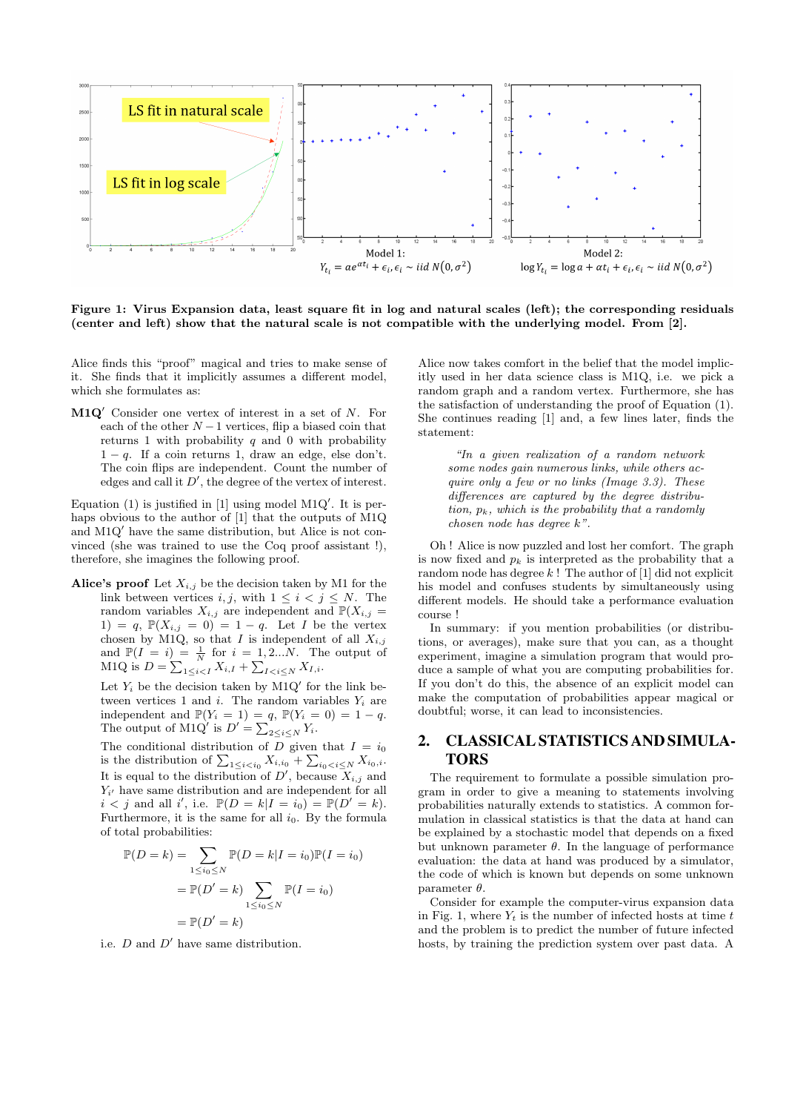

Figure 1: Virus Expansion data, least square fit in log and natural scales (left); the corresponding residuals (center and left) show that the natural scale is not compatible with the underlying model. From [2].

Alice finds this "proof" magical and tries to make sense of it. She finds that it implicitly assumes a different model, which she formulates as:

M1Q<sup>'</sup> Consider one vertex of interest in a set of *N*. For each of the other  $N-1$  vertices, flip a biased coin that returns 1 with probability *q* and 0 with probability  $1 - q$ . If a coin returns 1, draw an edge, else don't. The coin flips are independent. Count the number of edges and call it  $D'$ , the degree of the vertex of interest.

Equation  $(1)$  is justified in [1] using model M1Q'. It is perhaps obvious to the author of [1] that the outputs of M1Q and  $M1Q'$  have the same distribution, but Alice is not convinced (she was trained to use the Coq proof assistant !), therefore, she imagines the following proof.

Alice's proof Let *Xi,j* be the decision taken by M1 for the link between vertices *i, j,* with  $1 \leq i < j \leq N$ . The random variables  $X_{i,j}$  are independent and  $\mathbb{P}(X_{i,j} =$ 1) = *q*,  $\mathbb{P}(X_{i,j} = 0) = 1 - q$ . Let *I* be the vertex chosen by M1Q, so that *I* is independent of all  $X_{i,j}$ and  $\mathbb{P}(I = i) = \frac{1}{N}$  for  $i = 1, 2...N$ . The output of M1Q is  $D = \sum_{1 \le i \le I} X_{i,I} + \sum_{I \le i \le N} X_{I,i}$ .

Let  $Y_i$  be the decision taken by  $M1Q'$  for the link between vertices 1 and *i*. The random variables  $Y_i$  are independent and  $\mathbb{P}(Y_i = 1) = q$ ,  $\mathbb{P}(Y_i = 0) = 1 - q$ . The output of M1Q<sup>'</sup> is  $D' = \sum_{2 \le i \le N} Y_i$ .

The conditional distribution of *D* given that  $I = i_0$ is the distribution of  $\sum_{1 \le i \le i_0} X_{i,i_0} + \sum_{i_0 < i \le N} X_{i_0,i}$ . It is equal to the distribution of  $D'$ , because  $X_{i,j}$  and  $Y_i$  have same distribution and are independent for all  $i < j$  and all *i*', i.e.  $\mathbb{P}(D = k | I = i_0) = \mathbb{P}(D' = k)$ . Furthermore, it is the same for all *i*0. By the formula of total probabilities:

$$
\mathbb{P}(D = k) = \sum_{1 \le i_0 \le N} \mathbb{P}(D = k | I = i_0) \mathbb{P}(I = i_0)
$$

$$
= \mathbb{P}(D' = k) \sum_{1 \le i_0 \le N} \mathbb{P}(I = i_0)
$$

$$
= \mathbb{P}(D' = k)
$$

i.e.  $D$  and  $D'$  have same distribution.

Alice now takes comfort in the belief that the model implicitly used in her data science class is M1Q, i.e. we pick a random graph and a random vertex. Furthermore, she has the satisfaction of understanding the proof of Equation (1). She continues reading [1] and, a few lines later, finds the statement:

*"In a given realization of a random network some nodes gain numerous links, while others acquire only a few or no links (Image 3.3). These* differences are captured by the degree distribu*tion, pk, which is the probability that a randomly chosen node has degree k".*

Oh ! Alice is now puzzled and lost her comfort. The graph is now fixed and  $p_k$  is interpreted as the probability that a random node has degree *k* ! The author of [1] did not explicit his model and confuses students by simultaneously using different models. He should take a performance evaluation course !

In summary: if you mention probabilities (or distributions, or averages), make sure that you can, as a thought experiment, imagine a simulation program that would produce a sample of what you are computing probabilities for. If you don't do this, the absence of an explicit model can make the computation of probabilities appear magical or doubtful; worse, it can lead to inconsistencies.

## 2. CLASSICAL STATISTICS AND SIMULA-TORS

The requirement to formulate a possible simulation program in order to give a meaning to statements involving probabilities naturally extends to statistics. A common formulation in classical statistics is that the data at hand can be explained by a stochastic model that depends on a fixed but unknown parameter  $\theta$ . In the language of performance evaluation: the data at hand was produced by a simulator, the code of which is known but depends on some unknown parameter  $\theta$ .

Consider for example the computer-virus expansion data in Fig. 1, where  $Y_t$  is the number of infected hosts at time  $t$ and the problem is to predict the number of future infected hosts, by training the prediction system over past data. A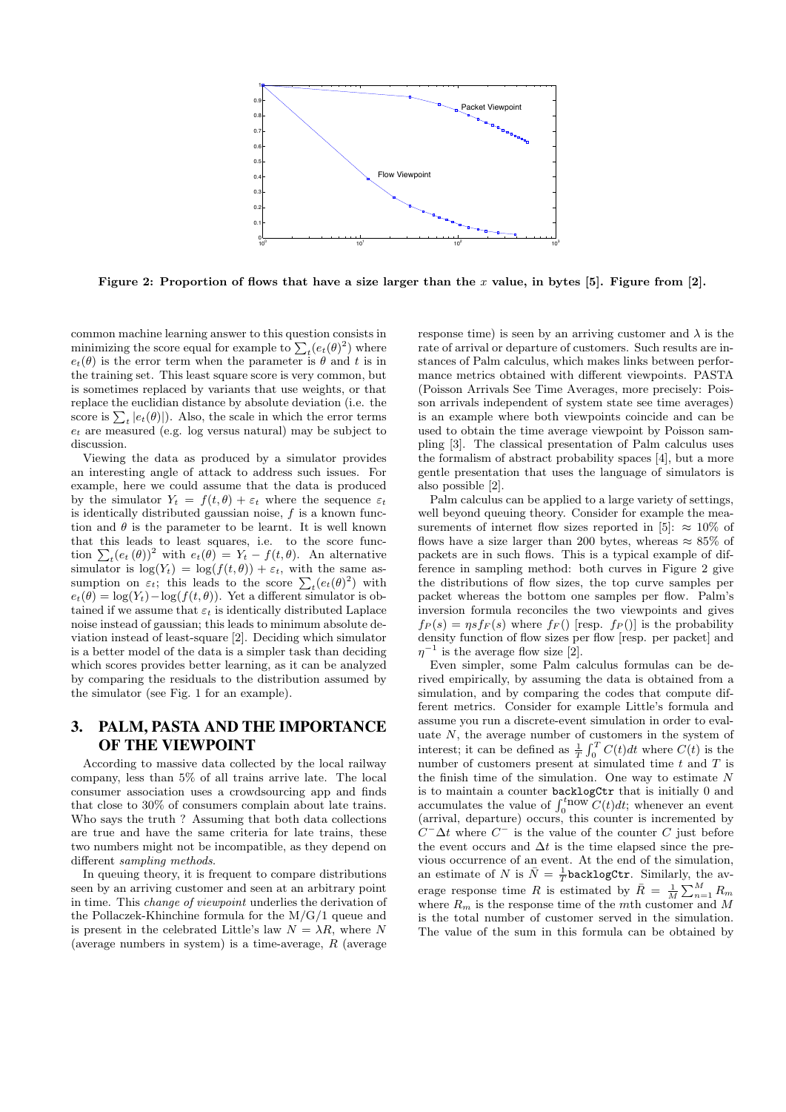

Figure 2: Proportion of flows that have a size larger than the *x* value, in bytes [5]. Figure from [2].

common machine learning answer to this question consists in minimizing the score equal for example to  $\sum_{t} (e_t(\theta)^2)$  where  $e_t(\theta)$  is the error term when the parameter is  $\theta$  and  $t$  is in the training set. This least square score is very common, but is sometimes replaced by variants that use weights, or that replace the euclidian distance by absolute deviation (i.e. the score is  $\sum_{t} |e_t(\theta)|$ . Also, the scale in which the error terms *e<sup>t</sup>* are measured (e.g. log versus natural) may be subject to discussion.

Viewing the data as produced by a simulator provides an interesting angle of attack to address such issues. For example, here we could assume that the data is produced by the simulator  $Y_t = f(t, \theta) + \varepsilon_t$  where the sequence  $\varepsilon_t$ is identically distributed gaussian noise, *f* is a known function and  $\theta$  is the parameter to be learnt. It is well known that this leads to least squares, i.e. to the score function  $\sum_{t} (e_t(\theta))^2$  with  $e_t(\theta) = Y_t - f(t, \theta)$ . An alternative simulator is  $\log(Y_t) = \log(f(t, \theta)) + \varepsilon_t$ , with the same assumption on  $\varepsilon_t$ ; this leads to the score  $\sum_t (e_t(\theta)^2)$  with  $e_t(\theta) = \log(Y_t) - \log(f(t, \theta))$ . Yet a different simulator is obtained if we assume that  $\varepsilon_t$  is identically distributed Laplace noise instead of gaussian; this leads to minimum absolute deviation instead of least-square [2]. Deciding which simulator is a better model of the data is a simpler task than deciding which scores provides better learning, as it can be analyzed by comparing the residuals to the distribution assumed by the simulator (see Fig. 1 for an example).

# 3. PALM, PASTA AND THE IMPORTANCE OF THE VIEWPOINT

According to massive data collected by the local railway company, less than 5% of all trains arrive late. The local consumer association uses a crowdsourcing app and finds that close to 30% of consumers complain about late trains. Who says the truth ? Assuming that both data collections are true and have the same criteria for late trains, these two numbers might not be incompatible, as they depend on different *sampling methods*.

In queuing theory, it is frequent to compare distributions seen by an arriving customer and seen at an arbitrary point in time. This *change of viewpoint* underlies the derivation of the Pollaczek-Khinchine formula for the M/G/1 queue and is present in the celebrated Little's law  $N = \lambda R$ , where N (average numbers in system) is a time-average, *R* (average

response time) is seen by an arriving customer and  $\lambda$  is the rate of arrival or departure of customers. Such results are instances of Palm calculus, which makes links between performance metrics obtained with different viewpoints. PASTA (Poisson Arrivals See Time Averages, more precisely: Poisson arrivals independent of system state see time averages) is an example where both viewpoints coincide and can be used to obtain the time average viewpoint by Poisson sampling [3]. The classical presentation of Palm calculus uses the formalism of abstract probability spaces [4], but a more gentle presentation that uses the language of simulators is also possible [2].

Palm calculus can be applied to a large variety of settings, well beyond queuing theory. Consider for example the measurements of internet flow sizes reported in [5]:  $\approx 10\%$  of flows have a size larger than 200 bytes, whereas  $\approx 85\%$  of packets are in such flows. This is a typical example of difference in sampling method: both curves in Figure 2 give the distributions of flow sizes, the top curve samples per packet whereas the bottom one samples per flow. Palm's inversion formula reconciles the two viewpoints and gives  $f_P(s) = \eta s f_F(s)$  where  $f_F()$  [resp.  $f_P()$ ] is the probability density function of flow sizes per flow [resp. per packet] and  $\eta^{-1}$  is the average flow size [2].

Even simpler, some Palm calculus formulas can be derived empirically, by assuming the data is obtained from a simulation, and by comparing the codes that compute different metrics. Consider for example Little's formula and assume you run a discrete-event simulation in order to evaluate *N*, the average number of customers in the system of interest; it can be defined as  $\frac{1}{T} \int_0^T C(t) dt$  where  $C(t)$  is the number of customers present at simulated time *t* and *T* is the finish time of the simulation. One way to estimate *N* is to maintain a counter backlogCtr that is initially 0 and accumulates the value of  $\int_0^{t_{\text{now}}} C(t) dt$ ; whenever an event (arrival, departure) occurs, this counter is incremented by  $C^{-}\Delta t$  where  $C^{-}$  is the value of the counter *C* just before the event occurs and  $\Delta t$  is the time elapsed since the previous occurrence of an event. At the end of the simulation, an estimate of *N* is  $\bar{N} = \frac{1}{T}$  backlogCtr. Similarly, the average response time *R* is estimated by  $\bar{R} = \frac{1}{M} \sum_{n=1}^{M} R_m$ where  $R_m$  is the response time of the *m*th customer and *M* is the total number of customer served in the simulation. The value of the sum in this formula can be obtained by